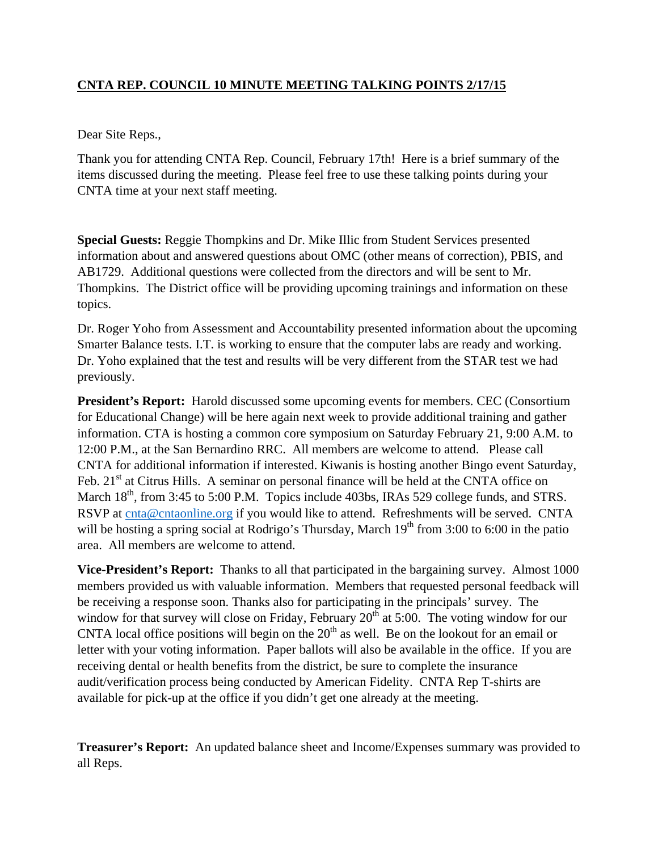## **CNTA REP. COUNCIL 10 MINUTE MEETING TALKING POINTS 2/17/15**

Dear Site Reps.,

Thank you for attending CNTA Rep. Council, February 17th! Here is a brief summary of the items discussed during the meeting. Please feel free to use these talking points during your CNTA time at your next staff meeting.

**Special Guests:** Reggie Thompkins and Dr. Mike Illic from Student Services presented information about and answered questions about OMC (other means of correction), PBIS, and AB1729. Additional questions were collected from the directors and will be sent to Mr. Thompkins. The District office will be providing upcoming trainings and information on these topics.

Dr. Roger Yoho from Assessment and Accountability presented information about the upcoming Smarter Balance tests. I.T. is working to ensure that the computer labs are ready and working. Dr. Yoho explained that the test and results will be very different from the STAR test we had previously.

**President's Report:** Harold discussed some upcoming events for members. CEC (Consortium for Educational Change) will be here again next week to provide additional training and gather information. CTA is hosting a common core symposium on Saturday February 21, 9:00 A.M. to 12:00 P.M., at the San Bernardino RRC. All members are welcome to attend. Please call CNTA for additional information if interested. Kiwanis is hosting another Bingo event Saturday, Feb. 21<sup>st</sup> at Citrus Hills. A seminar on personal finance will be held at the CNTA office on March  $18<sup>th</sup>$ , from 3:45 to 5:00 P.M. Topics include 403bs, IRAs 529 college funds, and STRS. RSVP at [cnta@cntaonline.org](mailto:cnta@cntaonline.org) if you would like to attend. Refreshments will be served. CNTA will be hosting a spring social at Rodrigo's Thursday, March  $19<sup>th</sup>$  from 3:00 to 6:00 in the patio area. All members are welcome to attend.

**Vice-President's Report:** Thanks to all that participated in the bargaining survey. Almost 1000 members provided us with valuable information. Members that requested personal feedback will be receiving a response soon. Thanks also for participating in the principals' survey. The window for that survey will close on Friday, February  $20<sup>th</sup>$  at 5:00. The voting window for our CNTA local office positions will begin on the  $20<sup>th</sup>$  as well. Be on the lookout for an email or letter with your voting information. Paper ballots will also be available in the office. If you are receiving dental or health benefits from the district, be sure to complete the insurance audit/verification process being conducted by American Fidelity. CNTA Rep T-shirts are available for pick-up at the office if you didn't get one already at the meeting.

**Treasurer's Report:** An updated balance sheet and Income/Expenses summary was provided to all Reps.